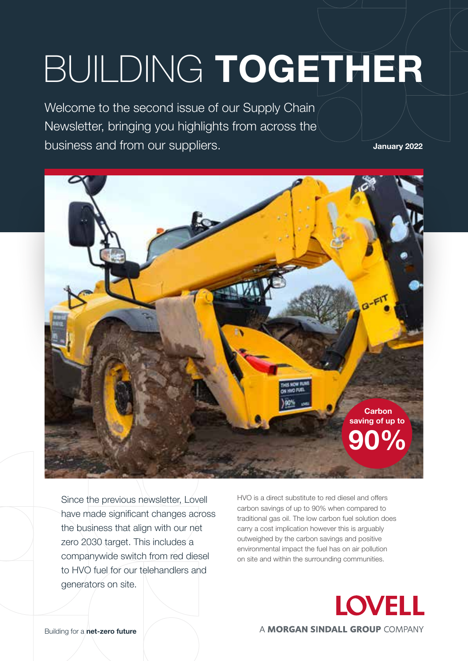# BUILDING **TOGETHER**

Welcome to the second issue of our Supply Chain Newsletter, bringing you highlights from across the business and from our suppliers.

**January 2022**



Since the previous newsletter, Lovell have made significant changes across the business that align with our net zero 2030 target. This includes a companywide switch from red diesel to HVO fuel for our telehandlers and generators on site.

HVO is a direct substitute to red diesel and offers carbon savings of up to 90% when compared to traditional gas oil. The low carbon fuel solution does carry a cost implication however this is arguably outweighed by the carbon savings and positive environmental impact the fuel has on air pollution on site and within the surrounding communities.



Building for a **net-zero future**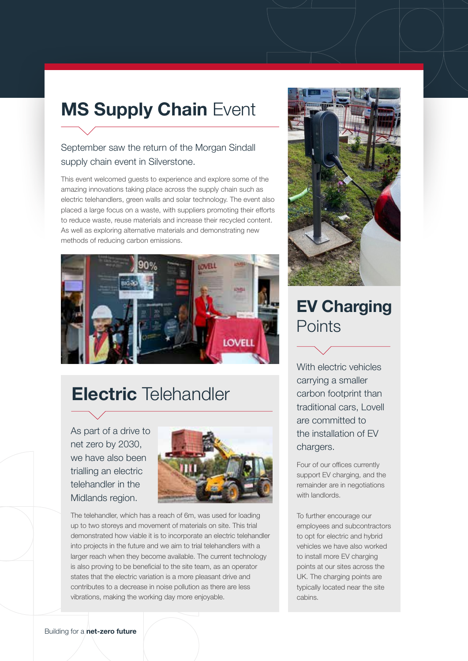# **MS Supply Chain Event**

#### September saw the return of the Morgan Sindall supply chain event in Silverstone.

This event welcomed guests to experience and explore some of the amazing innovations taking place across the supply chain such as electric telehandlers, green walls and solar technology. The event also placed a large focus on a waste, with suppliers promoting their efforts to reduce waste, reuse materials and increase their recycled content. As well as exploring alternative materials and demonstrating new methods of reducing carbon emissions.



## **Electric** Telehandler

As part of a drive to net zero by 2030, we have also been trialling an electric telehandler in the Midlands region.



The telehandler, which has a reach of 6m, was used for loading up to two storeys and movement of materials on site. This trial demonstrated how viable it is to incorporate an electric telehandler into projects in the future and we aim to trial telehandlers with a larger reach when they become available. The current technology is also proving to be beneficial to the site team, as an operator states that the electric variation is a more pleasant drive and contributes to a decrease in noise pollution as there are less vibrations, making the working day more enjoyable.



### **EV Charging Points**

With electric vehicles carrying a smaller carbon footprint than traditional cars, Lovell are committed to the installation of EV chargers.

Four of our offices currently support EV charging, and the remainder are in negotiations with landlords.

To further encourage our employees and subcontractors to opt for electric and hybrid vehicles we have also worked to install more EV charging points at our sites across the UK. The charging points are typically located near the site cabins.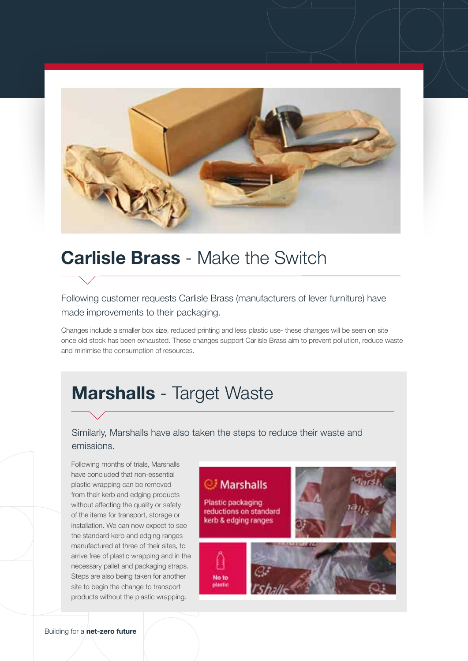

## **Carlisle Brass** - Make the Switch

#### Following customer requests Carlisle Brass (manufacturers of lever furniture) have made improvements to their packaging.

Changes include a smaller box size, reduced printing and less plastic use- these changes will be seen on site once old stock has been exhausted. These changes support Carlisle Brass aim to prevent pollution, reduce waste and minimise the consumption of resources.

## **Marshalls** - Target Waste

#### Similarly, Marshalls have also taken the steps to reduce their waste and emissions.

Following months of trials, Marshalls have concluded that non-essential plastic wrapping can be removed from their kerb and edging products without affecting the quality or safety of the items for transport, storage or installation. We can now expect to see the standard kerb and edging ranges manufactured at three of their sites, to arrive free of plastic wrapping and in the necessary pallet and packaging straps. Steps are also being taken for another site to begin the change to transport products without the plastic wrapping.

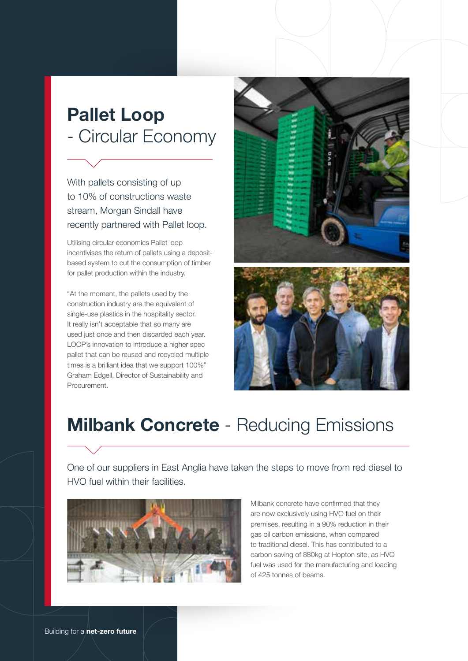# **Pallet Loop** - Circular Economy

With pallets consisting of up to 10% of constructions waste stream, Morgan Sindall have recently partnered with Pallet loop.

Utilising circular economics Pallet loop incentivises the return of pallets using a depositbased system to cut the consumption of timber for pallet production within the industry.

"At the moment, the pallets used by the construction industry are the equivalent of single-use plastics in the hospitality sector. It really isn't acceptable that so many are used just once and then discarded each year. LOOP's innovation to introduce a higher spec pallet that can be reused and recycled multiple times is a brilliant idea that we support 100%" Graham Edgell, Director of Sustainability and Procurement.





# **Milbank Concrete** - Reducing Emissions

One of our suppliers in East Anglia have taken the steps to move from red diesel to HVO fuel within their facilities.



Milbank concrete have confirmed that they are now exclusively using HVO fuel on their premises, resulting in a 90% reduction in their gas oil carbon emissions, when compared to traditional diesel. This has contributed to a carbon saving of 880kg at Hopton site, as HVO fuel was used for the manufacturing and loading of 425 tonnes of beams.

Building for a **net-zero future**